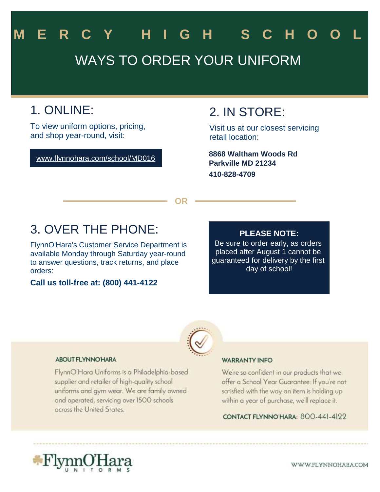# WAYS TO ORDER YOUR UNIFORM **M E R C Y H I G H S C H O O L**

# 1. ONLINE:

To view uniform options, pricing, and shop year-round, visit:

www.flynnohara.com/school/MD016

### 2. IN STORE:

Visit us at our closest servicing retail location:

**Parkville MD 21234 410-828-4709 8868 Waltham Woods Rd**

**OR**

## 3. OVER THE PHONE:

FlynnO'Hara's Customer Service Department is available Monday through Saturday year-round to answer questions, track returns, and place orders:

**Call us toll-free at: (800) 441-4122**

### **PLEASE NOTE:**

Be sure to order early, as orders placed after August 1 cannot be guaranteed for delivery by the first day of school!



#### **ABOUT FLYNNO HARA**

FlynnO'Hara Uniforms is a Philadelphia-based supplier and retailer of high-quality school uniforms and gym wear. We are family owned and operated, servicing over 1500 schools across the United States.

#### **WARRANTY INFO**

We're so confident in our products that we offer a School Year Guarantee: If you're not satisfied with the way an item is holding up within a year of purchase, we'll replace it.

CONTACT FLYNNO HARA: 800-441-4122



WWW.FLYNNOHARA.COM